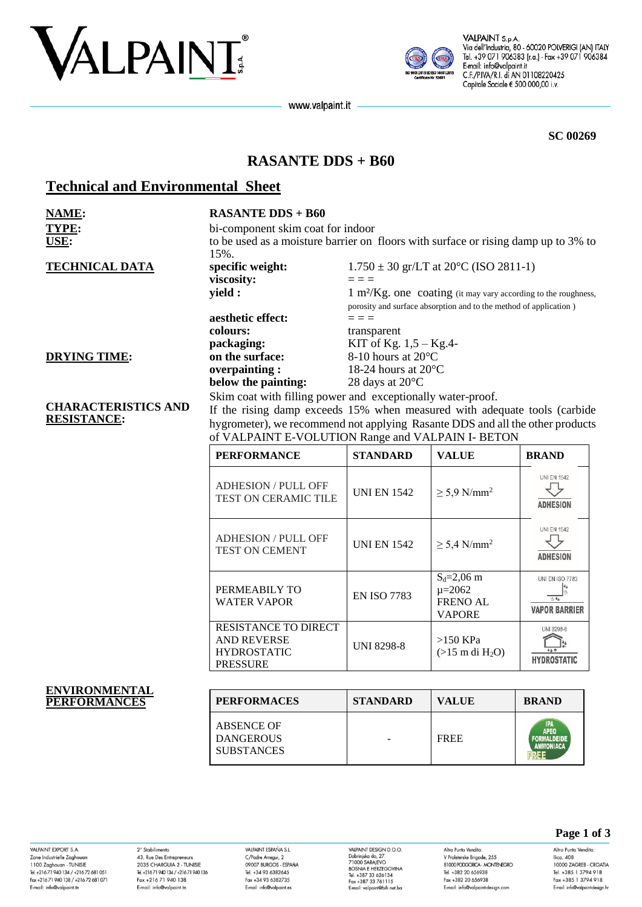



VALPAINT S.p.A. Via dell'Industria, 80 - 60020 POLVERIGI (AN) ITALY Tel. +39 071 906383 (r.a.) - Fax +39 071 906384 E-mail: info@valpaint.it C.F./P.IVA/R.I. di AN 01108220425 Capitale Sociale € 500.000,00 i.v.

www.valpaint.it

**SC 00269**

## **RASANTE DDS + B60**

# **Technical and Environmental Sheet**

| <b>NAME:</b><br>TYPE:<br>USE:                    | <b>RASANTE DDS + B60</b><br>bi-component skim coat for indoor<br>to be used as a moisture barrier on floors with surface or rising damp up to 3% to<br>15%. |                                                                                                                                                                                                                 |                                                                                  |                                                             |
|--------------------------------------------------|-------------------------------------------------------------------------------------------------------------------------------------------------------------|-----------------------------------------------------------------------------------------------------------------------------------------------------------------------------------------------------------------|----------------------------------------------------------------------------------|-------------------------------------------------------------|
| <b>TECHNICAL DATA</b>                            | specific weight:                                                                                                                                            |                                                                                                                                                                                                                 | $1.750 \pm 30$ gr/LT at 20 $^{\circ}$ C (ISO 2811-1)                             |                                                             |
|                                                  | viscosity:                                                                                                                                                  | $=$ $=$ $=$                                                                                                                                                                                                     |                                                                                  |                                                             |
|                                                  | yield :                                                                                                                                                     |                                                                                                                                                                                                                 | $1 \text{ m}^2/\text{Kg}$ . one coating (it may vary according to the roughness, |                                                             |
|                                                  |                                                                                                                                                             |                                                                                                                                                                                                                 | porosity and surface absorption and to the method of application)                |                                                             |
|                                                  | aesthetic effect:                                                                                                                                           | $=$ $=$ $=$                                                                                                                                                                                                     |                                                                                  |                                                             |
|                                                  | colours:                                                                                                                                                    | transparent                                                                                                                                                                                                     |                                                                                  |                                                             |
|                                                  | packaging:                                                                                                                                                  | KIT of Kg. $1,5 - Kg.4$ -                                                                                                                                                                                       |                                                                                  |                                                             |
| <b>DRYING TIME:</b>                              | on the surface:                                                                                                                                             | 8-10 hours at 20°C                                                                                                                                                                                              |                                                                                  |                                                             |
|                                                  | overpainting:                                                                                                                                               | 18-24 hours at $20^{\circ}$ C                                                                                                                                                                                   |                                                                                  |                                                             |
|                                                  | below the painting:<br>Skim coat with filling power and exceptionally water-proof.                                                                          | 28 days at 20°C                                                                                                                                                                                                 |                                                                                  |                                                             |
| <b>CHARACTERISTICS AND</b><br><b>RESISTANCE:</b> |                                                                                                                                                             | If the rising damp exceeds 15% when measured with adequate tools (carbide<br>hygrometer), we recommend not applying Rasante DDS and all the other products<br>of VALPAINT E-VOLUTION Range and VALPAIN I- BETON |                                                                                  |                                                             |
|                                                  | <b>PERFORMANCE</b>                                                                                                                                          | <b>STANDARD</b>                                                                                                                                                                                                 | <b>VALUE</b>                                                                     | <b>BRAND</b>                                                |
|                                                  | <b>ADHESION / PULL OFF</b><br>TEST ON CERAMIC TILE                                                                                                          | <b>UNI EN 1542</b>                                                                                                                                                                                              | $\geq$ 5,9 N/mm <sup>2</sup>                                                     | <b>UNI EN 1542</b><br><b>ADHESION</b>                       |
|                                                  | <b>ADHESION / PULL OFF</b><br><b>TEST ON CEMENT</b>                                                                                                         | <b>UNI EN 1542</b>                                                                                                                                                                                              | $\geq$ 5,4 N/mm <sup>2</sup>                                                     | <b>UNI EN 1542</b><br><b>ADHESION</b>                       |
|                                                  | PERMEABILY TO<br><b>WATER VAPOR</b>                                                                                                                         | <b>EN ISO 7783</b>                                                                                                                                                                                              | $S_d = 2,06$ m<br>$\mu = 2062$<br><b>FRENO AL</b><br><b>VAPORE</b>               | <b>UNI EN ISO 7783</b><br>$15 - 46$<br><b>VAPOR BARRIER</b> |
|                                                  | RESISTANCE TO DIRECT<br><b>AND REVERSE</b><br><b>HYDROSTATIC</b><br><b>PRESSURE</b>                                                                         | <b>UNI 8298-8</b>                                                                                                                                                                                               | $>150$ KPa<br>$(>15 \text{ m di H}_2O)$                                          | UNI 8298-8<br><b>HYDROSTATIC</b>                            |

**ENVIRONMENTAL**   $PERFORMANCES$ 

| <b>PERFORMACES</b>                                         | <b>STANDARD</b> | VALUE       | <b>BRAND</b>              |
|------------------------------------------------------------|-----------------|-------------|---------------------------|
| <b>ABSENCE OF</b><br><b>DANGEROUS</b><br><b>SUBSTANCES</b> |                 | <b>FREE</b> | <b>IPA</b><br><b>APEO</b> |

VAI PAINT FYPORT S.A. Zone Industrielle Zaghouar 1100 Zaghouan - TUNISIE<br>Tel. +216 71 940 134 / +216 72 681 051 Fax +216 71 940 138 / +216 72 681 071 E-mail: info@valpaint.tn

2° Stabilimento<br>43, Rue Des Entrepreneurs 2035 CHARGUIA 2 - TUNISIE<br>Tel. +21671 940 134 / +21671 940 136 Fax +216 71 940 138 E-mail: info@valpaint.tn

VAI PAINT FSPAÑA ST C/Padre Arregui, 2 09007 BURGOS - ESPAÑA<br>Tel. +34 93 6382645 Fax +34 93 6382735 E-mail: info@valpaint.er

VALPAINT DESIGN D.O.O. VALPAINT DESIGN D.O.O.<br>Dobrinjska do, 27<br>71000 SARAJEVO<br>BOSNIA E HERZEGOVINA<br>Tel. +387 33 626134<br>Fox +387 33 761115 E-mail: valpaint@bih.net.ba

Altro Punto Vendita:<br>V Proleterske Brigade, 255 81000 PODGORICA - MONTENEGRO Tel. +382 20 656938 Fax +382 20 656938 E-mail: info@valpaint-desian.com

### **Page 1 of 3**

Altro Punto Vendita:  $llica, 408$ 10000 ZAGREB - CROATIA<br>Tel. +385 1 3794 918 Fax +385 1 3794 918 E-mail: info@valpaint-desian.hr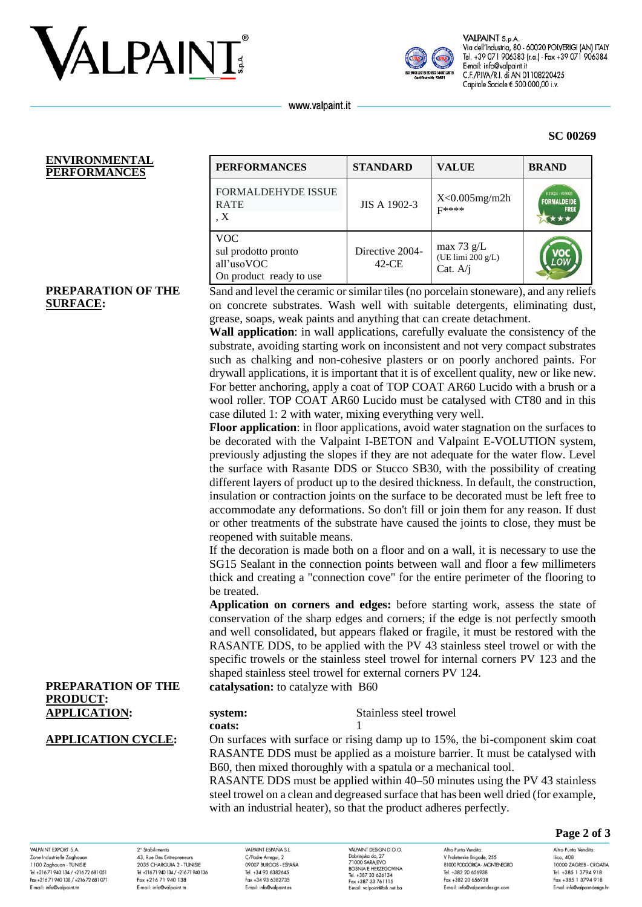



VALPAINT S.p.A Via dell'Industria, 80 - 60020 POLVERIGI (AN) ITALY Tel. +39 071 906383 (r.a.) - Fax +39 071 906384 E-mail: info@valpaint.it C.F./P.IVA/R.I. di AN 01108220425 Capitale Sociale € 500.000,00 i.v.

**SC 00269**

www.valpaint.it

#### **ENVIRONMENTAL PERFORMANCES PERFORMANCES STANDARD VALUE BRAND**

| <b>FORMALDEHYDE ISSUE</b><br><b>RATE</b><br>$\mathbf{X}$                   | JIS A 1902-3               | $X<0.005$ mg/m2h<br>$F$ ****                    | K09025 - K09026<br><b>FORMALDEIDE</b><br><b>FREE</b> |
|----------------------------------------------------------------------------|----------------------------|-------------------------------------------------|------------------------------------------------------|
| <b>VOC</b><br>sul prodotto pronto<br>all'usoVOC<br>On product ready to use | Directive 2004-<br>$42-CE$ | max 73 $g/L$<br>(UE limi 200 g/L)<br>Cat. $A/i$ |                                                      |

#### **PREPARATION OF THE SURFACE:**

Sand and level the ceramic or similar tiles (no porcelain stoneware), and any reliefs on concrete substrates. Wash well with suitable detergents, eliminating dust, grease, soaps, weak paints and anything that can create detachment.

**Wall application**: in wall applications, carefully evaluate the consistency of the substrate, avoiding starting work on inconsistent and not very compact substrates such as chalking and non-cohesive plasters or on poorly anchored paints. For drywall applications, it is important that it is of excellent quality, new or like new. For better anchoring, apply a coat of TOP COAT AR60 Lucido with a brush or a wool roller. TOP COAT AR60 Lucido must be catalysed with CT80 and in this case diluted 1: 2 with water, mixing everything very well.

**Floor application**: in floor applications, avoid water stagnation on the surfaces to be decorated with the Valpaint I-BETON and Valpaint E-VOLUTION system, previously adjusting the slopes if they are not adequate for the water flow. Level the surface with Rasante DDS or Stucco SB30, with the possibility of creating different layers of product up to the desired thickness. In default, the construction, insulation or contraction joints on the surface to be decorated must be left free to accommodate any deformations. So don't fill or join them for any reason. If dust or other treatments of the substrate have caused the joints to close, they must be reopened with suitable means.

If the decoration is made both on a floor and on a wall, it is necessary to use the SG15 Sealant in the connection points between wall and floor a few millimeters thick and creating a "connection cove" for the entire perimeter of the flooring to be treated.

**Application on corners and edges:** before starting work, assess the state of conservation of the sharp edges and corners; if the edge is not perfectly smooth and well consolidated, but appears flaked or fragile, it must be restored with the RASANTE DDS, to be applied with the PV 43 stainless steel trowel or with the specific trowels or the stainless steel trowel for internal corners PV 123 and the shaped stainless steel trowel for external corners PV 124.

**catalysation:** to catalyze with B60

| <b>APPLICATION:</b> | system: | Stainless steel trowel |
|---------------------|---------|------------------------|
|                     | coats:  |                        |

**PREPARATION OF THE** 

**PRODUCT:**

**APPLICATION CYCLE:** On surfaces with surface or rising damp up to 15%, the bi-component skim coat RASANTE DDS must be applied as a moisture barrier. It must be catalysed with B60, then mixed thoroughly with a spatula or a mechanical tool.

RASANTE DDS must be applied within 40–50 minutes using the PV 43 stainless steel trowel on a clean and degreased surface that has been well dried (for example, with an industrial heater), so that the product adheres perfectly.

#### **Page 2 of 3**

VAI PAINT EYPORT & A Zone Industrielle Zaghoua 1100 Zaghouan - TUNISIE Tel. +216 71 940 134 / +216 72 681 051 Fax +216 71 940 138 / +216 72 681 071 E-mail: info@valpaint.tr

2° Stabilimento 43, Rue Des Entrepreneurs 2025 CHARCLILA 2 TUNISIE Tel. +216 71 940 134 / +216 71 940 136 Fax +216 71 940 138 E-mail: info@valpaint.tn

VAIRAINT ESPAÑA S I C/Padre Arregui, 2 OOOOZ BIJDCOS ESDAÑA Tel. +34 93 6382645 Fax +34 93 6382735 E-mail: info@valpaint.es

**VALPAINT DESIGN D.O.O.** VALPAINT DESIGN D.O.O.<br>Dobrinjska do, 27<br>71000 SARAJEVO<br>BOSNIA E HERZEGOVINA Tel. +387 33 626134 Fax +387 33 761115 E-mail: valoaint@bib.net ba

Altro Punto Vendita V Proleterske Brigade, 255 **RIOOD PODGORICA - MONTENEGRO** Tel. +382 20 656938 Fax +382 20 656938 E-mail: info@valpaint-design.com

Altro Punto Vendita: Ilica, 408 10000 ZAGREB - CROATIA Tel. +385 1 3794 918 Fax +385 1 3794 918 E-mail: info@valpaint-desian.hr